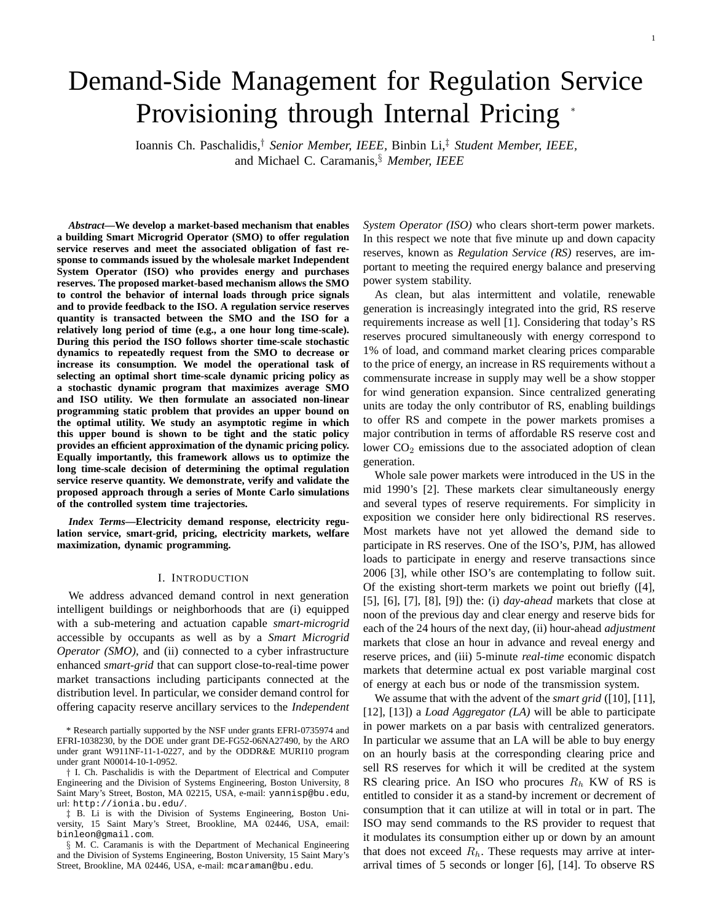# Demand-Side Management for Regulation Service Provisioning through Internal Pricing <sup>∗</sup>

Ioannis Ch. Paschalidis,† *Senior Member, IEEE,* Binbin Li,‡ *Student Member, IEEE,* and Michael C. Caramanis,§ *Member, IEEE*

*Abstract***—We develop a market-based mechanism that enables a building Smart Microgrid Operator (SMO) to offer regulation service reserves and meet the associated obligation of fast response to commands issued by the wholesale market Independent System Operator (ISO) who provides energy and purchases reserves. The proposed market-based mechanism allows the SMO to control the behavior of internal loads through price signals and to provide feedback to the ISO. A regulation service reserves quantity is transacted between the SMO and the ISO for a relatively long period of time (e.g., a one hour long time-scale). During this period the ISO follows shorter time-scale stochastic dynamics to repeatedly request from the SMO to decrease or increase its consumption. We model the operational task of selecting an optimal short time-scale dynamic pricing policy as a stochastic dynamic program that maximizes average SMO and ISO utility. We then formulate an associated non-linear programming static problem that provides an upper bound on the optimal utility. We study an asymptotic regime in which this upper bound is shown to be tight and the static policy provides an efficient approximation of the dynamic pricing policy. Equally importantly, this framework allows us to optimize the long time-scale decision of determining the optimal regulation service reserve quantity. We demonstrate, verify and validate the proposed approach through a series of Monte Carlo simulations of the controlled system time trajectories.**

*Index Terms***—Electricity demand response, electricity regulation service, smart-grid, pricing, electricity markets, welfare maximization, dynamic programming.**

### I. INTRODUCTION

We address advanced demand control in next generation intelligent buildings or neighborhoods that are (i) equipped with a sub-metering and actuation capable *smart-microgrid* accessible by occupants as well as by a *Smart Microgrid Operator (SMO)*, and (ii) connected to a cyber infrastructure enhanced *smart-grid* that can support close-to-real-time power market transactions including participants connected at the distribution level. In particular, we consider demand control for offering capacity reserve ancillary services to the *Independent*

\* Research partially supported by the NSF under grants EFRI-0735974 and EFRI-1038230, by the DOE under grant DE-FG52-06NA27490, by the ARO under grant W911NF-11-1-0227, and by the ODDR&E MURI10 program under grant N00014-10-1-0952.

† I. Ch. Paschalidis is with the Department of Electrical and Computer Engineering and the Division of Systems Engineering, Boston University, 8 Saint Mary's Street, Boston, MA 02215, USA, e-mail: yannisp@bu.edu, url: http://ionia.bu.edu/.

‡ B. Li is with the Division of Systems Engineering, Boston University, 15 Saint Mary's Street, Brookline, MA 02446, USA, email: binleon@gmail.com.

§ M. C. Caramanis is with the Department of Mechanical Engineering and the Division of Systems Engineering, Boston University, 15 Saint Mary's Street, Brookline, MA 02446, USA, e-mail: mcaraman@bu.edu.

*System Operator (ISO)* who clears short-term power markets. In this respect we note that five minute up and down capacity reserves, known as *Regulation Service (RS)* reserves, are important to meeting the required energy balance and preserving power system stability.

As clean, but alas intermittent and volatile, renewable generation is increasingly integrated into the grid, RS reserve requirements increase as well [1]. Considering that today's RS reserves procured simultaneously with energy correspond to 1% of load, and command market clearing prices comparable to the price of energy, an increase in RS requirements without a commensurate increase in supply may well be a show stopper for wind generation expansion. Since centralized generating units are today the only contributor of RS, enabling buildings to offer RS and compete in the power markets promises a major contribution in terms of affordable RS reserve cost and lower  $CO<sub>2</sub>$  emissions due to the associated adoption of clean generation.

Whole sale power markets were introduced in the US in the mid 1990's [2]. These markets clear simultaneously energy and several types of reserve requirements. For simplicity in exposition we consider here only bidirectional RS reserves. Most markets have not yet allowed the demand side to participate in RS reserves. One of the ISO's, PJM, has allowed loads to participate in energy and reserve transactions since 2006 [3], while other ISO's are contemplating to follow suit. Of the existing short-term markets we point out briefly ([4], [5], [6], [7], [8], [9]) the: (i) *day-ahead* markets that close at noon of the previous day and clear energy and reserve bids for each of the 24 hours of the next day, (ii) hour-ahead *adjustment* markets that close an hour in advance and reveal energy and reserve prices, and (iii) 5-minute *real-time* economic dispatch markets that determine actual ex post variable marginal cost of energy at each bus or node of the transmission system.

We assume that with the advent of the *smart grid* ([10], [11], [12], [13]) a *Load Aggregator (LA)* will be able to participate in power markets on a par basis with centralized generators. In particular we assume that an LA will be able to buy energy on an hourly basis at the corresponding clearing price and sell RS reserves for which it will be credited at the system RS clearing price. An ISO who procures  $R<sub>h</sub>$  KW of RS is entitled to consider it as a stand-by increment or decrement of consumption that it can utilize at will in total or in part. The ISO may send commands to the RS provider to request that it modulates its consumption either up or down by an amount that does not exceed  $R<sub>h</sub>$ . These requests may arrive at interarrival times of 5 seconds or longer [6], [14]. To observe RS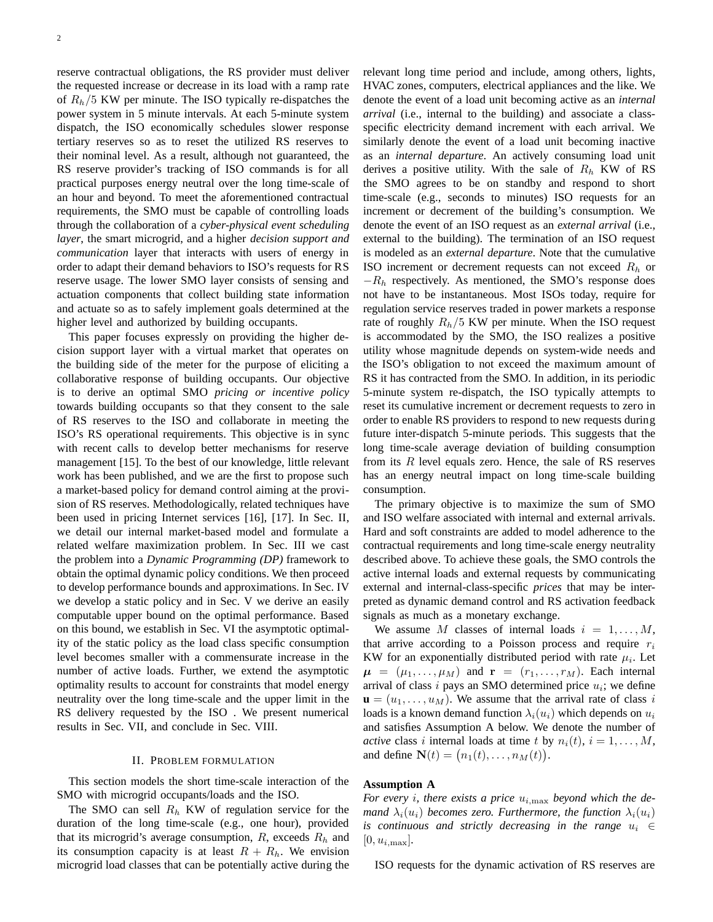reserve contractual obligations, the RS provider must deliver the requested increase or decrease in its load with a ramp rate of  $R_h/5$  KW per minute. The ISO typically re-dispatches the power system in 5 minute intervals. At each 5-minute system dispatch, the ISO economically schedules slower response tertiary reserves so as to reset the utilized RS reserves to their nominal level. As a result, although not guaranteed, the RS reserve provider's tracking of ISO commands is for all practical purposes energy neutral over the long time-scale of an hour and beyond. To meet the aforementioned contractual requirements, the SMO must be capable of controlling loads through the collaboration of a *cyber-physical event scheduling layer*, the smart microgrid, and a higher *decision support and communication* layer that interacts with users of energy in order to adapt their demand behaviors to ISO's requests for RS reserve usage. The lower SMO layer consists of sensing and actuation components that collect building state information and actuate so as to safely implement goals determined at the higher level and authorized by building occupants.

This paper focuses expressly on providing the higher decision support layer with a virtual market that operates on the building side of the meter for the purpose of eliciting a collaborative response of building occupants. Our objective is to derive an optimal SMO *pricing or incentive policy* towards building occupants so that they consent to the sale of RS reserves to the ISO and collaborate in meeting the ISO's RS operational requirements. This objective is in sync with recent calls to develop better mechanisms for reserve management [15]. To the best of our knowledge, little relevant work has been published, and we are the first to propose such a market-based policy for demand control aiming at the provision of RS reserves. Methodologically, related techniques have been used in pricing Internet services [16], [17]. In Sec. II, we detail our internal market-based model and formulate a related welfare maximization problem. In Sec. III we cast the problem into a *Dynamic Programming (DP)* framework to obtain the optimal dynamic policy conditions. We then proceed to develop performance bounds and approximations. In Sec. IV we develop a static policy and in Sec. V we derive an easily computable upper bound on the optimal performance. Based on this bound, we establish in Sec. VI the asymptotic optimality of the static policy as the load class specific consumption level becomes smaller with a commensurate increase in the number of active loads. Further, we extend the asymptotic optimality results to account for constraints that model energy neutrality over the long time-scale and the upper limit in the RS delivery requested by the ISO . We present numerical results in Sec. VII, and conclude in Sec. VIII.

#### II. PROBLEM FORMULATION

This section models the short time-scale interaction of the SMO with microgrid occupants/loads and the ISO.

The SMO can sell  $R<sub>h</sub>$  KW of regulation service for the duration of the long time-scale (e.g., one hour), provided that its microgrid's average consumption,  $R$ , exceeds  $R<sub>h</sub>$  and its consumption capacity is at least  $R + R<sub>h</sub>$ . We envision microgrid load classes that can be potentially active during the relevant long time period and include, among others, lights, HVAC zones, computers, electrical appliances and the like. We denote the event of a load unit becoming active as an *internal arrival* (i.e., internal to the building) and associate a classspecific electricity demand increment with each arrival. We similarly denote the event of a load unit becoming inactive as an *internal departure*. An actively consuming load unit derives a positive utility. With the sale of  $R_h$  KW of RS the SMO agrees to be on standby and respond to short time-scale (e.g., seconds to minutes) ISO requests for an increment or decrement of the building's consumption. We denote the event of an ISO request as an *external arrival* (i.e., external to the building). The termination of an ISO request is modeled as an *external departure*. Note that the cumulative ISO increment or decrement requests can not exceed  $R_h$  or  $-R_h$  respectively. As mentioned, the SMO's response does not have to be instantaneous. Most ISOs today, require for regulation service reserves traded in power markets a response rate of roughly  $R_h/5$  KW per minute. When the ISO request is accommodated by the SMO, the ISO realizes a positive utility whose magnitude depends on system-wide needs and the ISO's obligation to not exceed the maximum amount of RS it has contracted from the SMO. In addition, in its periodic 5-minute system re-dispatch, the ISO typically attempts to reset its cumulative increment or decrement requests to zero in order to enable RS providers to respond to new requests during future inter-dispatch 5-minute periods. This suggests that the long time-scale average deviation of building consumption from its  $R$  level equals zero. Hence, the sale of RS reserves has an energy neutral impact on long time-scale building consumption.

The primary objective is to maximize the sum of SMO and ISO welfare associated with internal and external arrivals. Hard and soft constraints are added to model adherence to the contractual requirements and long time-scale energy neutrality described above. To achieve these goals, the SMO controls the active internal loads and external requests by communicating external and internal-class-specific *prices* that may be interpreted as dynamic demand control and RS activation feedback signals as much as a monetary exchange.

We assume M classes of internal loads  $i = 1, \ldots, M$ , that arrive according to a Poisson process and require  $r_i$ KW for an exponentially distributed period with rate  $\mu_i$ . Let  $\mu = (\mu_1, \ldots, \mu_M)$  and  $\mathbf{r} = (r_1, \ldots, r_M)$ . Each internal arrival of class  $i$  pays an SMO determined price  $u_i$ ; we define  $\mathbf{u} = (u_1, \dots, u_M)$ . We assume that the arrival rate of class i loads is a known demand function  $\lambda_i(u_i)$  which depends on  $u_i$ and satisfies Assumption A below. We denote the number of *active* class i internal loads at time t by  $n_i(t)$ ,  $i = 1, \ldots, M$ , and define  $\mathbf{N}(t) = (n_1(t), \dots, n_M(t)).$ 

# **Assumption A**

For every *i*, there exists a price  $u_{i, \text{max}}$  beyond which the de*mand*  $\lambda_i(u_i)$  *becomes zero. Furthermore, the function*  $\lambda_i(u_i)$ *is continuous and strictly decreasing in the range*  $u_i \in$  $[0, u_{i, \text{max}}]$ .

ISO requests for the dynamic activation of RS reserves are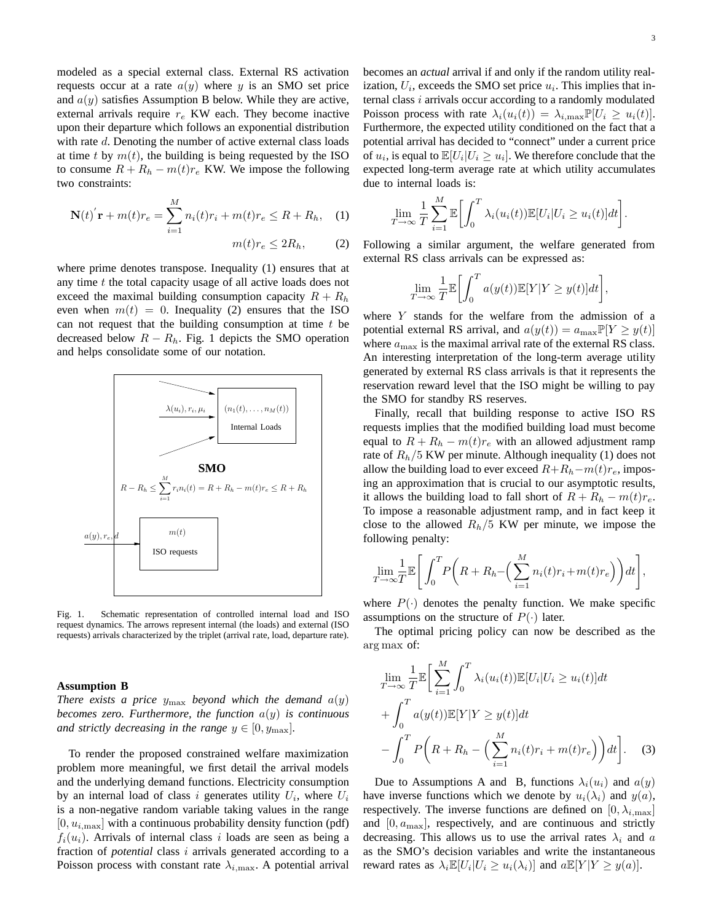modeled as a special external class. External RS activation requests occur at a rate  $a(y)$  where y is an SMO set price and  $a(y)$  satisfies Assumption B below. While they are active, external arrivals require  $r_e$  KW each. They become inactive upon their departure which follows an exponential distribution with rate d. Denoting the number of active external class loads at time t by  $m(t)$ , the building is being requested by the ISO to consume  $R + R_h - m(t)r_e$  KW. We impose the following two constraints:

$$
\mathbf{N}(t)^{'}\mathbf{r} + m(t)r_e = \sum_{i=1}^{M} n_i(t)r_i + m(t)r_e \le R + R_h, \quad (1)
$$

$$
m(t)r_e \le 2R_h, \qquad (2)
$$

where prime denotes transpose. Inequality (1) ensures that at any time  $t$  the total capacity usage of all active loads does not exceed the maximal building consumption capacity  $R + R<sub>h</sub>$ even when  $m(t) = 0$ . Inequality (2) ensures that the ISO can not request that the building consumption at time  $t$  be decreased below  $R - R_h$ . Fig. 1 depicts the SMO operation and helps consolidate some of our notation.



Fig. 1. Schematic representation of controlled internal load and ISO request dynamics. The arrows represent internal (the loads) and external (ISO requests) arrivals characterized by the triplet (arrival rate, load, departure rate).

## **Assumption B**

*There exists a price*  $y_{\text{max}}$  *beyond which the demand*  $a(y)$ *becomes zero. Furthermore, the function* a(y) *is continuous and strictly decreasing in the range*  $y \in [0, y_{\text{max}}]$ *.* 

To render the proposed constrained welfare maximization problem more meaningful, we first detail the arrival models and the underlying demand functions. Electricity consumption by an internal load of class i generates utility  $U_i$ , where  $U_i$ is a non-negative random variable taking values in the range  $[0, u_{i, \text{max}}]$  with a continuous probability density function (pdf)  $f_i(u_i)$ . Arrivals of internal class i loads are seen as being a fraction of *potential* class i arrivals generated according to a Poisson process with constant rate  $\lambda_{i,\text{max}}$ . A potential arrival becomes an *actual* arrival if and only if the random utility realization,  $U_i$ , exceeds the SMO set price  $u_i$ . This implies that internal class i arrivals occur according to a randomly modulated Poisson process with rate  $\lambda_i(u_i(t)) = \lambda_{i, \max} \mathbb{P}[U_i \geq u_i(t)].$ Furthermore, the expected utility conditioned on the fact that a potential arrival has decided to "connect" under a current price of  $u_i$ , is equal to  $\mathbb{E}[U_i | U_i \geq u_i]$ . We therefore conclude that the expected long-term average rate at which utility accumulates due to internal loads is:

$$
\lim_{T \to \infty} \frac{1}{T} \sum_{i=1}^{M} \mathbb{E} \bigg[ \int_0^T \lambda_i(u_i(t)) \mathbb{E}[U_i | U_i \ge u_i(t)] dt \bigg].
$$

Following a similar argument, the welfare generated from external RS class arrivals can be expressed as:

$$
\lim_{T \to \infty} \frac{1}{T} \mathbb{E} \bigg[ \int_0^T a(y(t)) \mathbb{E}[Y|Y \ge y(t)] dt \bigg],
$$

where Y stands for the welfare from the admission of a potential external RS arrival, and  $a(y(t)) = a_{\text{max}} \mathbb{P}[Y \geq y(t)]$ where  $a_{\text{max}}$  is the maximal arrival rate of the external RS class. An interesting interpretation of the long-term average utility generated by external RS class arrivals is that it represents the reservation reward level that the ISO might be willing to pay the SMO for standby RS reserves.

Finally, recall that building response to active ISO RS requests implies that the modified building load must become equal to  $R + R_h - m(t)r_e$  with an allowed adjustment ramp rate of  $R_h/5$  KW per minute. Although inequality (1) does not allow the building load to ever exceed  $R+R_h-m(t)r_e$ , imposing an approximation that is crucial to our asymptotic results, it allows the building load to fall short of  $R + R_h - m(t)r_e$ . To impose a reasonable adjustment ramp, and in fact keep it close to the allowed  $R_h/5$  KW per minute, we impose the following penalty:

$$
\lim_{T \to \infty} \frac{1}{T} \mathbb{E} \Bigg[ \int_0^T \! P\bigg( R + R_h \! - \! \Big( \sum_{i=1}^M n_i(t) r_i + m(t) r_e \Big) \bigg) dt \Bigg],
$$

where  $P(\cdot)$  denotes the penalty function. We make specific assumptions on the structure of  $P(\cdot)$  later.

The optimal pricing policy can now be described as the arg max of:

$$
\lim_{T \to \infty} \frac{1}{T} \mathbb{E} \bigg[ \sum_{i=1}^{M} \int_{0}^{T} \lambda_{i}(u_{i}(t)) \mathbb{E}[U_{i}|U_{i} \ge u_{i}(t)] dt + \int_{0}^{T} a(y(t)) \mathbb{E}[Y|Y \ge y(t)] dt - \int_{0}^{T} P\bigg( R + R_{h} - \Big( \sum_{i=1}^{M} n_{i}(t)r_{i} + m(t)r_{e} \Big) \bigg) dt \bigg]. \tag{3}
$$

Due to Assumptions A and B, functions  $\lambda_i(u_i)$  and  $a(y)$ have inverse functions which we denote by  $u_i(\lambda_i)$  and  $y(a)$ , respectively. The inverse functions are defined on  $[0, \lambda_{i, \text{max}}]$ and  $[0, a_{\text{max}}]$ , respectively, and are continuous and strictly decreasing. This allows us to use the arrival rates  $\lambda_i$  and a as the SMO's decision variables and write the instantaneous reward rates as  $\lambda_i \mathbb{E}[U_i | U_i \ge u_i(\lambda_i)]$  and  $a \mathbb{E}[Y | Y \ge y(a)]$ .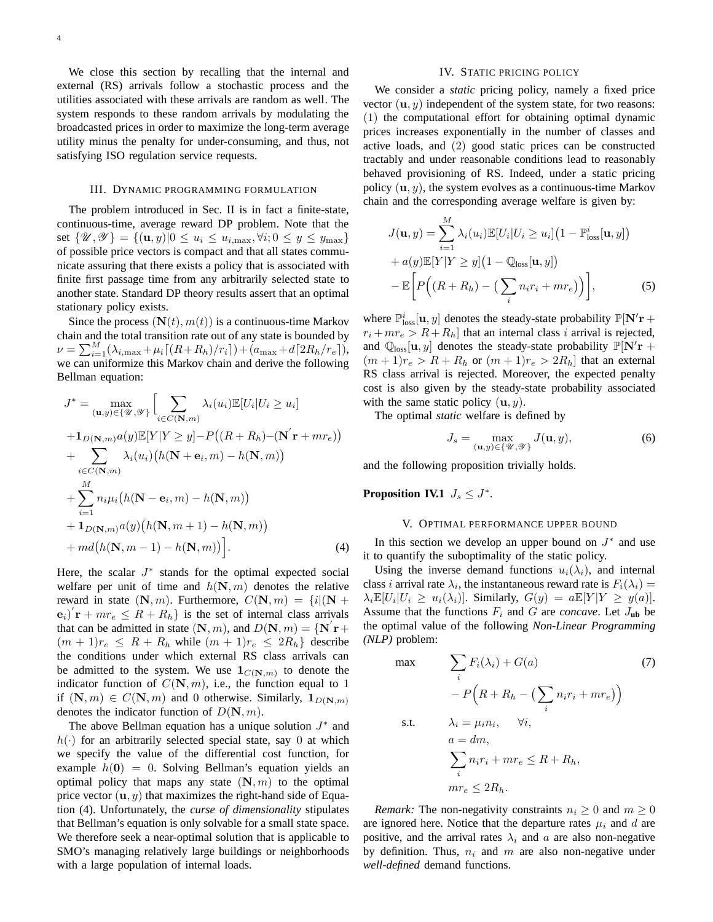We close this section by recalling that the internal and external (RS) arrivals follow a stochastic process and the utilities associated with these arrivals are random as well. The system responds to these random arrivals by modulating the broadcasted prices in order to maximize the long-term average utility minus the penalty for under-consuming, and thus, not satisfying ISO regulation service requests.

#### III. DYNAMIC PROGRAMMING FORMULATION

The problem introduced in Sec. II is in fact a finite-state, continuous-time, average reward DP problem. Note that the set  $\{\mathscr{U}, \mathscr{Y}\} = \{(\mathbf{u}, y)|0 \leq u_i \leq u_{i, \max}, \forall i; 0 \leq y \leq y_{\max}\}\$ of possible price vectors is compact and that all states communicate assuring that there exists a policy that is associated with finite first passage time from any arbitrarily selected state to another state. Standard DP theory results assert that an optimal stationary policy exists.

Since the process  $(N(t), m(t))$  is a continuous-time Markov chain and the total transition rate out of any state is bounded by  $\nu = \sum_{i=1}^{M} (\lambda_{i, \max} + \mu_i [(R + R_h)/r_i]) + (a_{\max} + d[2R_h/r_e]),$ we can uniformize this Markov chain and derive the following Bellman equation:

$$
J^* = \max_{(\mathbf{u},y)\in\{\mathcal{U},\mathcal{Y}\}} \left[ \sum_{i\in C(\mathbf{N},m)} \lambda_i(u_i) \mathbb{E}[U_i | U_i \ge u_i] \right. \left. + \mathbf{1}_{D(\mathbf{N},m)} a(y) \mathbb{E}[Y | Y \ge y] - P((R + R_h) - (\mathbf{N}^{\'} \mathbf{r} + m r_e)) \right. \left. + \sum_{i\in C(\mathbf{N},m)} \lambda_i(u_i) \big( h(\mathbf{N} + \mathbf{e}_i, m) - h(\mathbf{N}, m) \big) \right. \left. + \sum_{i=1}^M n_i \mu_i \big( h(\mathbf{N} - \mathbf{e}_i, m) - h(\mathbf{N}, m) \big) \right. \left. + \mathbf{1}_{D(\mathbf{N},m)} a(y) \big( h(\mathbf{N}, m+1) - h(\mathbf{N}, m) \big) \right. \left. + m d(h(\mathbf{N}, m-1) - h(\mathbf{N}, m)) \right]. \tag{4}
$$

Here, the scalar  $J^*$  stands for the optimal expected social welfare per unit of time and  $h(\mathbf{N}, m)$  denotes the relative reward in state  $(N, m)$ . Furthermore,  $C(N, m) = \{i | (N +$  $\mathbf{e}_i$ )'**r** +  $mr_e \leq R + R_h$ } is the set of internal class arrivals that can be admitted in state  $(N, m)$ , and  $D(N, m) = \{N'r +$  $(m + 1)r_e \leq R + R_h$  while  $(m + 1)r_e \leq 2R_h$  describe the conditions under which external RS class arrivals can be admitted to the system. We use  $\mathbf{1}_{C(\mathbf{N},m)}$  to denote the indicator function of  $C(N, m)$ , i.e., the function equal to 1 if  $(N, m) \in C(N, m)$  and 0 otherwise. Similarly,  $\mathbf{1}_{D(N,m)}$ denotes the indicator function of  $D(N, m)$ .

The above Bellman equation has a unique solution  $J^*$  and  $h(\cdot)$  for an arbitrarily selected special state, say 0 at which we specify the value of the differential cost function, for example  $h(0) = 0$ . Solving Bellman's equation yields an optimal policy that maps any state  $(N, m)$  to the optimal price vector  $(\mathbf{u}, y)$  that maximizes the right-hand side of Equation (4). Unfortunately, the *curse of dimensionality* stipulates that Bellman's equation is only solvable for a small state space. We therefore seek a near-optimal solution that is applicable to SMO's managing relatively large buildings or neighborhoods with a large population of internal loads.

#### IV. STATIC PRICING POLICY

We consider a *static* pricing policy, namely a fixed price vector  $(\mathbf{u}, y)$  independent of the system state, for two reasons: (1) the computational effort for obtaining optimal dynamic prices increases exponentially in the number of classes and active loads, and (2) good static prices can be constructed tractably and under reasonable conditions lead to reasonably behaved provisioning of RS. Indeed, under a static pricing policy  $(u, y)$ , the system evolves as a continuous-time Markov chain and the corresponding average welfare is given by:

$$
J(\mathbf{u}, y) = \sum_{i=1}^{M} \lambda_i(u_i) \mathbb{E}[U_i | U_i \ge u_i] \left(1 - \mathbb{P}_{\text{loss}}^i[\mathbf{u}, y]\right)
$$

$$
+ a(y) \mathbb{E}[Y | Y \ge y] \left(1 - \mathbb{Q}_{\text{loss}}[\mathbf{u}, y]\right)
$$

$$
- \mathbb{E}\bigg[P\bigg((R + R_h) - \bigg(\sum_i n_i r_i + m r_e\bigg)\bigg)\bigg],
$$
(5)

where  $\mathbb{P}^i_{\text{loss}}[\mathbf{u}, y]$  denotes the steady-state probability  $\mathbb{P}[\mathbf{N'r} +$  $r_i + mr_e > R + R_h$  that an internal class i arrival is rejected, and  $\mathbb{Q}_{\text{loss}}[\mathbf{u}, y]$  denotes the steady-state probability  $\mathbb{P}[\mathbf{N}'\mathbf{r}]$  $(m+1)r_e > R + R_h$  or  $(m+1)r_e > 2R_h$ ] that an external RS class arrival is rejected. Moreover, the expected penalty cost is also given by the steady-state probability associated with the same static policy  $(\mathbf{u}, y)$ .

The optimal *static* welfare is defined by

$$
J_s = \max_{(\mathbf{u}, y) \in \{\mathcal{U}, \mathcal{Y}\}} J(\mathbf{u}, y),\tag{6}
$$

and the following proposition trivially holds.

# **Proposition IV.1**  $J_s \leq J^*$ .

#### V. OPTIMAL PERFORMANCE UPPER BOUND

In this section we develop an upper bound on  $J^*$  and use it to quantify the suboptimality of the static policy.

Using the inverse demand functions  $u_i(\lambda_i)$ , and internal class *i* arrival rate  $\lambda_i$ , the instantaneous reward rate is  $F_i(\lambda_i) =$  $\lambda_i \mathbb{E}[U_i | U_i \geq u_i(\lambda_i)]$ . Similarly,  $G(y) = a \mathbb{E}[Y | Y \geq y(a)]$ . Assume that the functions  $F_i$  and  $G$  are *concave*. Let  $J_{ub}$  be the optimal value of the following *Non-Linear Programming (NLP)* problem:

$$
\max_{i} \sum_{i} F_{i}(\lambda_{i}) + G(a) \tag{7}
$$
\n
$$
- P\left(R + R_{h} - \left(\sum_{i} n_{i}r_{i} + mr_{e}\right)\right)
$$
\n
$$
\text{s.t.} \quad \lambda_{i} = \mu_{i}n_{i}, \quad \forall i,
$$
\n
$$
a = dm,
$$
\n
$$
\sum_{i} n_{i}r_{i} + mr_{e} \leq R + R_{h},
$$
\n
$$
mr_{e} \leq 2R_{h}.
$$
\n
$$
(1)
$$

*Remark:* The non-negativity constraints  $n_i \geq 0$  and  $m \geq 0$ are ignored here. Notice that the departure rates  $\mu_i$  and d are positive, and the arrival rates  $\lambda_i$  and a are also non-negative by definition. Thus,  $n_i$  and m are also non-negative under *well-defined* demand functions.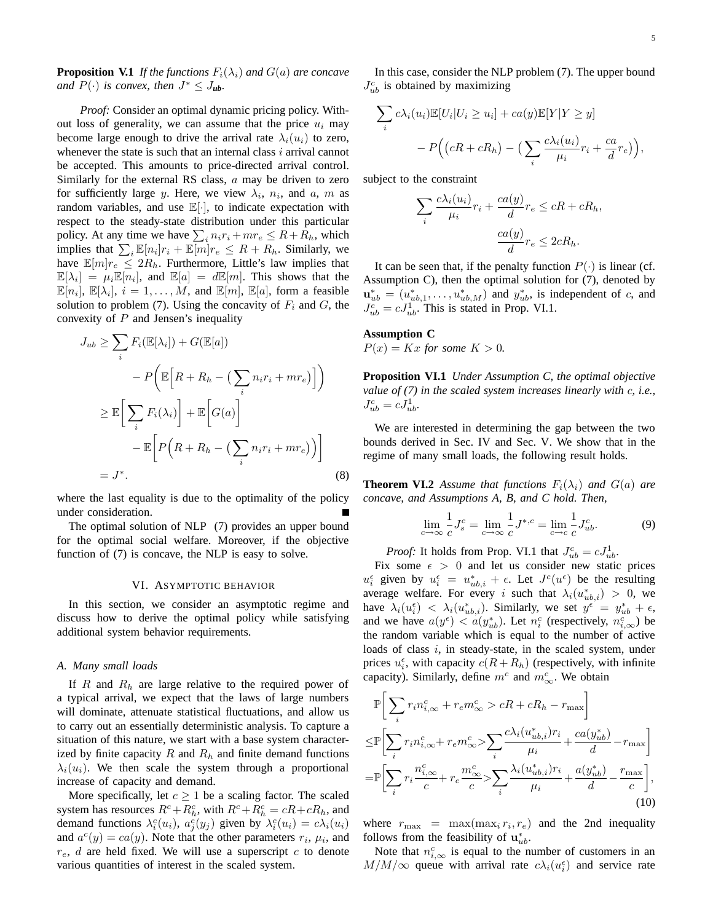**Proposition V.1** *If the functions*  $F_i(\lambda_i)$  *and*  $G(a)$  *are concave and*  $P(\cdot)$  *is convex, then*  $J^* \leq J_{\mathbf{u}\mathbf{b}}$ *.* 

*Proof:* Consider an optimal dynamic pricing policy. Without loss of generality, we can assume that the price  $u_i$  may become large enough to drive the arrival rate  $\lambda_i(u_i)$  to zero, whenever the state is such that an internal class  $i$  arrival cannot be accepted. This amounts to price-directed arrival control. Similarly for the external RS class,  $a$  may be driven to zero for sufficiently large y. Here, we view  $\lambda_i$ ,  $n_i$ , and a, m as random variables, and use  $\mathbb{E}[\cdot]$ , to indicate expectation with respect to the steady-state distribution under this particular policy. At any time we have  $\sum_i n_i r_i + m r_e \le R + R_h$ , which implies that  $\sum_i \mathbb{E}[n_i]r_i + \mathbb{E}[m]r_e \leq R + R_h$ . Similarly, we have  $\mathbb{E}[m]r_e \leq 2R_h$ . Furthermore, Little's law implies that  $\mathbb{E}[\lambda_i] = \mu_i \mathbb{E}[n_i]$ , and  $\mathbb{E}[a] = d\mathbb{E}[m]$ . This shows that the  $\mathbb{E}[n_i]$ ,  $\mathbb{E}[\lambda_i]$ ,  $i = 1, \ldots, M$ , and  $\mathbb{E}[m]$ ,  $\mathbb{E}[a]$ , form a feasible solution to problem (7). Using the concavity of  $F_i$  and  $G$ , the convexity of  $P$  and Jensen's inequality

$$
J_{ub} \geq \sum_{i} F_i(\mathbb{E}[\lambda_i]) + G(\mathbb{E}[a])
$$
  
\n
$$
- P\left(\mathbb{E}\left[R + R_h - \left(\sum_i n_i r_i + m r_e\right)\right]\right)
$$
  
\n
$$
\geq \mathbb{E}\left[\sum_i F_i(\lambda_i)\right] + \mathbb{E}\left[G(a)\right]
$$
  
\n
$$
- \mathbb{E}\left[P\left(R + R_h - \left(\sum_i n_i r_i + m r_e\right)\right)\right]
$$
  
\n
$$
= J^*.
$$
 (8)

where the last equality is due to the optimality of the policy under consideration.

The optimal solution of NLP (7) provides an upper bound for the optimal social welfare. Moreover, if the objective function of (7) is concave, the NLP is easy to solve.

#### VI. ASYMPTOTIC BEHAVIOR

In this section, we consider an asymptotic regime and discuss how to derive the optimal policy while satisfying additional system behavior requirements.

#### *A. Many small loads*

If  $R$  and  $R_h$  are large relative to the required power of a typical arrival, we expect that the laws of large numbers will dominate, attenuate statistical fluctuations, and allow us to carry out an essentially deterministic analysis. To capture a situation of this nature, we start with a base system characterized by finite capacity  $R$  and  $R_h$  and finite demand functions  $\lambda_i(u_i)$ . We then scale the system through a proportional increase of capacity and demand.

More specifically, let  $c \geq 1$  be a scaling factor. The scaled system has resources  $R^c + R_h^c$ , with  $R^c + R_h^c = cR + cR_h$ , and demand functions  $\lambda_i^c(u_i)$ ,  $a_j^c(y_j)$  given by  $\lambda_i^c(u_i) = c\lambda_i(u_i)$ and  $a^c(y) = ca(y)$ . Note that the other parameters  $r_i$ ,  $\mu_i$ , and  $r_e$ , d are held fixed. We will use a superscript c to denote various quantities of interest in the scaled system.

In this case, consider the NLP problem (7). The upper bound  $J_{ub}^c$  is obtained by maximizing

$$
\sum_{i} c\lambda_i(u_i) \mathbb{E}[U_i | U_i \ge u_i] + ca(y) \mathbb{E}[Y | Y \ge y]
$$
  
-  $P((cR + cR_h) - (\sum_{i} \frac{c\lambda_i(u_i)}{\mu_i} r_i + \frac{ca}{d} r_e)),$ 

subject to the constraint

$$
\sum_{i} \frac{c\lambda_i(u_i)}{\mu_i} r_i + \frac{ca(y)}{d} r_e \le cR + cR_h,
$$

$$
\frac{ca(y)}{d} r_e \le 2cR_h.
$$

It can be seen that, if the penalty function  $P(\cdot)$  is linear (cf. Assumption C), then the optimal solution for (7), denoted by  $\mathbf{u}_{ub}^* = (u_{ub,1}^*, \dots, u_{ub,M}^*)$  and  $y_{ub}^*$ , is independent of c, and  $J_{ub}^c = cJ_{ub}^1$ . This is stated in Prop. VI.1.

# **Assumption C**  $P(x) = Kx$  for some  $K > 0$ .

**Proposition VI.1** *Under Assumption C, the optimal objective value of (7) in the scaled system increases linearly with* c*, i.e.,*  $J_{ub}^c = cJ_{ub}^1$ .

We are interested in determining the gap between the two bounds derived in Sec. IV and Sec. V. We show that in the regime of many small loads, the following result holds.

**Theorem VI.2** Assume that functions  $F_i(\lambda_i)$  and  $G(a)$  are *concave, and Assumptions A, B, and C hold. Then,*

$$
\lim_{c \to \infty} \frac{1}{c} J_s^c = \lim_{c \to \infty} \frac{1}{c} J^{*,c} = \lim_{c \to c} \frac{1}{c} J_{ub}^c.
$$
 (9)

*Proof:* It holds from Prop. VI.1 that  $J_{ub}^c = cJ_{ub}^1$ .

Fix some  $\epsilon > 0$  and let us consider new static prices  $u_i^{\epsilon}$  given by  $u_i^{\epsilon} = u_{ub,i}^{*} + \epsilon$ . Let  $J^c(u^{\epsilon})$  be the resulting average welfare. For every i such that  $\lambda_i(u_{ub,i}^*) > 0$ , we have  $\lambda_i(u_i^{\epsilon}) < \lambda_i(u_{ub,i}^{\epsilon})$ . Similarly, we set  $\hat{y}^{\epsilon} = y_{ub}^* + \epsilon$ , and we have  $a(y^{\epsilon}) < a(y^*_{ub})$ . Let  $n_i^c$  (respectively,  $n_{i,\infty}^c$ ) be the random variable which is equal to the number of active loads of class  $i$ , in steady-state, in the scaled system, under prices  $u_i^{\epsilon}$ , with capacity  $c(R + R_h)$  (respectively, with infinite capacity). Similarly, define  $m^c$  and  $m^c_{\infty}$ . We obtain

$$
\mathbb{P}\bigg[\sum_{i} r_{i}n_{i,\infty}^{c} + r_{e}m_{\infty}^{c} > cR + cR_{h} - r_{\max}\bigg]
$$
\n
$$
\leq \mathbb{P}\bigg[\sum_{i} r_{i}n_{i,\infty}^{c} + r_{e}m_{\infty}^{c} > \sum_{i} \frac{c\lambda_{i}(u_{ub,i}^{*})r_{i}}{\mu_{i}} + \frac{ca(y_{ub}^{*})}{d} - r_{\max}\bigg]
$$
\n
$$
= \mathbb{P}\bigg[\sum_{i} r_{i}\frac{n_{i,\infty}^{c}}{c} + r_{e}\frac{m_{\infty}^{c}}{c} > \sum_{i} \frac{\lambda_{i}(u_{ub,i}^{*})r_{i}}{\mu_{i}} + \frac{a(y_{ub}^{*})}{d} - \frac{r_{\max}}{c}\bigg],\tag{10}
$$

where  $r_{\text{max}} = \max(\max_i r_i, r_e)$  and the 2nd inequality follows from the feasibility of  $\mathbf{u}_{ub}^*$ .

Note that  $n_{i,\infty}^c$  is equal to the number of customers in an  $M/M/\infty$  queue with arrival rate  $c\lambda_i(u_i^{\epsilon})$  and service rate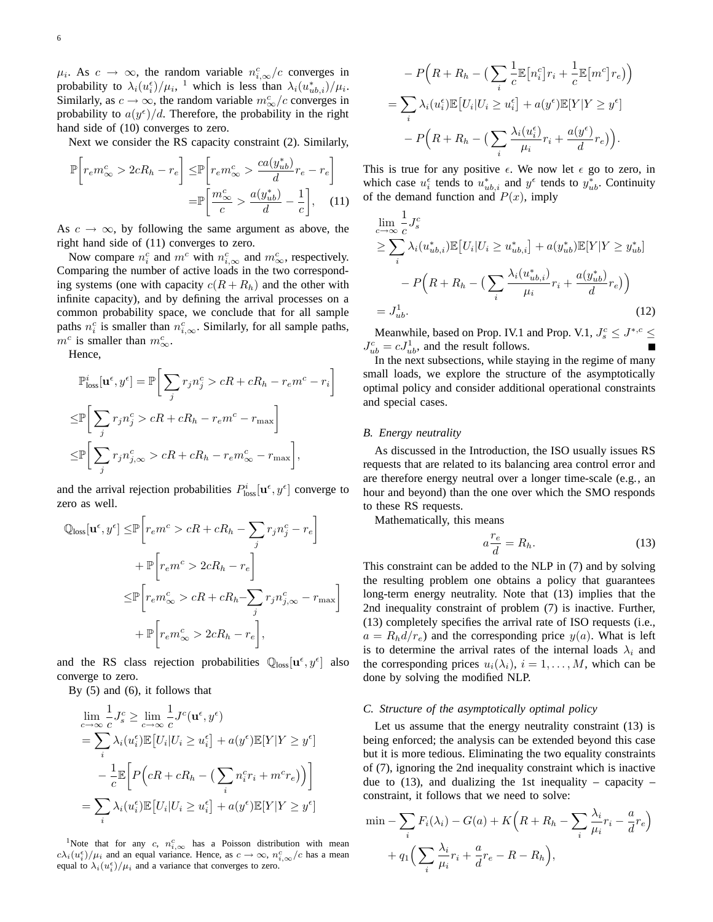6

 $\mu_i$ . As  $c \to \infty$ , the random variable  $n_{i,\infty}^c/c$  converges in probability to  $\lambda_i(u_i^{\epsilon})/\mu_i$ , <sup>1</sup> which is less than  $\lambda_i(u_{ub,i}^*)/\mu_i$ . Similarly, as  $c \to \infty$ , the random variable  $m_{\infty}^{c}/c$  converges in probability to  $a(y^{\epsilon})/d$ . Therefore, the probability in the right hand side of (10) converges to zero.

Next we consider the RS capacity constraint (2). Similarly,

$$
\mathbb{P}\left[r_{e}m_{\infty}^{c} > 2cR_{h} - r_{e}\right] \leq \mathbb{P}\left[r_{e}m_{\infty}^{c} > \frac{ca(y_{ub}^{*})}{d}r_{e} - r_{e}\right]
$$

$$
= \mathbb{P}\left[\frac{m_{\infty}^{c}}{c} > \frac{a(y_{ub}^{*})}{d} - \frac{1}{c}\right], \quad (11)
$$

As  $c \to \infty$ , by following the same argument as above, the right hand side of (11) converges to zero.

Now compare  $n_i^c$  and  $m^c$  with  $n_{i,\infty}^c$  and  $m_{\infty}^c$ , respectively. Comparing the number of active loads in the two corresponding systems (one with capacity  $c(R + R_h)$  and the other with infinite capacity), and by defining the arrival processes on a common probability space, we conclude that for all sample paths  $n_i^c$  is smaller than  $n_{i,\infty}^c$ . Similarly, for all sample paths,  $m^c$  is smaller than  $m^c_{\infty}$ .

Hence,

$$
\mathbb{P}_{\text{loss}}^{i}[\mathbf{u}^{\epsilon}, y^{\epsilon}] = \mathbb{P}\bigg[\sum_{j} r_{j}n_{j}^{c} > cR + cR_{h} - r_{e}m^{c} - r_{i}\bigg]
$$

$$
\leq \mathbb{P}\bigg[\sum_{j} r_{j}n_{j}^{c} > cR + cR_{h} - r_{e}m^{c} - r_{\text{max}}\bigg]
$$

$$
\leq \mathbb{P}\bigg[\sum_{j} r_{j}n_{j,\infty}^{c} > cR + cR_{h} - r_{e}m_{\infty}^{c} - r_{\text{max}}\bigg],
$$

and the arrival rejection probabilities  $P_{\text{loss}}^i[\mathbf{u}^\epsilon, y^\epsilon]$  converge to zero as well.

$$
\mathbb{Q}_{\text{loss}}[\mathbf{u}^{\epsilon}, y^{\epsilon}] \leq \mathbb{P}\bigg[r_e m^c > cR + cR_h - \sum_j r_j n_j^c - r_e\bigg]
$$

$$
+ \mathbb{P}\bigg[r_e m^c > 2cR_h - r_e\bigg]
$$

$$
\leq \mathbb{P}\bigg[r_e m^c_{\infty} > cR + cR_h - \sum_j r_j n^c_{j,\infty} - r_{\text{max}}\bigg]
$$

$$
+ \mathbb{P}\bigg[r_e m^c_{\infty} > 2cR_h - r_e\bigg],
$$

and the RS class rejection probabilities  $\mathbb{Q}_{\text{loss}}[\mathbf{u}^{\epsilon}, y^{\epsilon}]$  also converge to zero.

By (5) and (6), it follows that

$$
\lim_{c \to \infty} \frac{1}{c} J_s^c \ge \lim_{c \to \infty} \frac{1}{c} J^c(\mathbf{u}^{\epsilon}, y^{\epsilon})
$$
\n
$$
= \sum_i \lambda_i (u_i^{\epsilon}) \mathbb{E} [U_i | U_i \ge u_i^{\epsilon}] + a(y^{\epsilon}) \mathbb{E} [Y | Y \ge y^{\epsilon}]
$$
\n
$$
- \frac{1}{c} \mathbb{E} \bigg[ P \Big( cR + cR_h - \Big( \sum_i n_i^c r_i + m^c r_e \Big) \Big) \bigg]
$$
\n
$$
= \sum_i \lambda_i (u_i^{\epsilon}) \mathbb{E} [U_i | U_i \ge u_i^{\epsilon}] + a(y^{\epsilon}) \mathbb{E} [Y | Y \ge y^{\epsilon}]
$$

<sup>1</sup>Note that for any c,  $n_{i,\infty}^c$  has a Poisson distribution with mean  $c\lambda_i(u_i^{\epsilon})/\mu_i$  and an equal variance. Hence, as  $c \to \infty$ ,  $n_{i,\infty}^c/c$  has a mean equal to  $\lambda_i(u_i^{\epsilon})/\mu_i$  and a variance that converges to zero.

$$
-P\Big(R + R_h - \left(\sum_i \frac{1}{c} \mathbb{E}\big[n_i^c\big]r_i + \frac{1}{c} \mathbb{E}\big[m^c\big]r_e\right)\Big)
$$
  

$$
= \sum_i \lambda_i(u_i^{\epsilon}) \mathbb{E}\big[U_i|U_i \ge u_i^{\epsilon}\big] + a(y^{\epsilon}) \mathbb{E}[Y|Y \ge y^{\epsilon}]
$$
  

$$
-P\Big(R + R_h - \left(\sum_i \frac{\lambda_i(u_i^{\epsilon})}{\mu_i}r_i + \frac{a(y^{\epsilon})}{d}r_e\right)\Big).
$$

This is true for any positive  $\epsilon$ . We now let  $\epsilon$  go to zero, in which case  $u_i^{\epsilon}$  tends to  $u_{ub,i}^*$  and  $y^{\epsilon}$  tends to  $y_{ub}^*$ . Continuity of the demand function and  $P(x)$ , imply

$$
\lim_{c \to \infty} \frac{1}{c} J_s^c
$$
\n
$$
\geq \sum_i \lambda_i (u_{ub,i}^*) \mathbb{E} \left[ U_i | U_i \geq u_{ub,i}^* \right] + a(y_{ub}^*) \mathbb{E} \left[ Y | Y \geq y_{ub}^* \right]
$$
\n
$$
- P \left( R + R_h - \left( \sum_i \frac{\lambda_i (u_{ub,i}^*)}{\mu_i} r_i + \frac{a(y_{ub}^*)}{d} r_e \right) \right)
$$
\n
$$
= J_{ub}^1. \tag{12}
$$

Meanwhile, based on Prop. IV.1 and Prop. V.1,  $J_s^c \leq J^{*,c} \leq$  $J_{ub}^c = cJ_{ub}^1$ , and the result follows.

In the next subsections, while staying in the regime of many small loads, we explore the structure of the asymptotically optimal policy and consider additional operational constraints and special cases.

#### *B. Energy neutrality*

As discussed in the Introduction, the ISO usually issues RS requests that are related to its balancing area control error and are therefore energy neutral over a longer time-scale (e.g., an hour and beyond) than the one over which the SMO responds to these RS requests.

Mathematically, this means

$$
a\frac{r_e}{d} = R_h.
$$
\n(13)

This constraint can be added to the NLP in (7) and by solving the resulting problem one obtains a policy that guarantees long-term energy neutrality. Note that (13) implies that the 2nd inequality constraint of problem (7) is inactive. Further, (13) completely specifies the arrival rate of ISO requests (i.e.,  $a = R_h d/r_e$ ) and the corresponding price  $y(a)$ . What is left is to determine the arrival rates of the internal loads  $\lambda_i$  and the corresponding prices  $u_i(\lambda_i)$ ,  $i = 1, \dots, M$ , which can be done by solving the modified NLP.

# *C. Structure of the asymptotically optimal policy*

Let us assume that the energy neutrality constraint (13) is being enforced; the analysis can be extended beyond this case but it is more tedious. Eliminating the two equality constraints of (7), ignoring the 2nd inequality constraint which is inactive due to  $(13)$ , and dualizing the 1st inequality – capacity – constraint, it follows that we need to solve:

$$
\min -\sum_{i} F_i(\lambda_i) - G(a) + K\left(R + R_h - \sum_{i} \frac{\lambda_i}{\mu_i} r_i - \frac{a}{d} r_e\right) + q_1 \left(\sum_{i} \frac{\lambda_i}{\mu_i} r_i + \frac{a}{d} r_e - R - R_h\right),
$$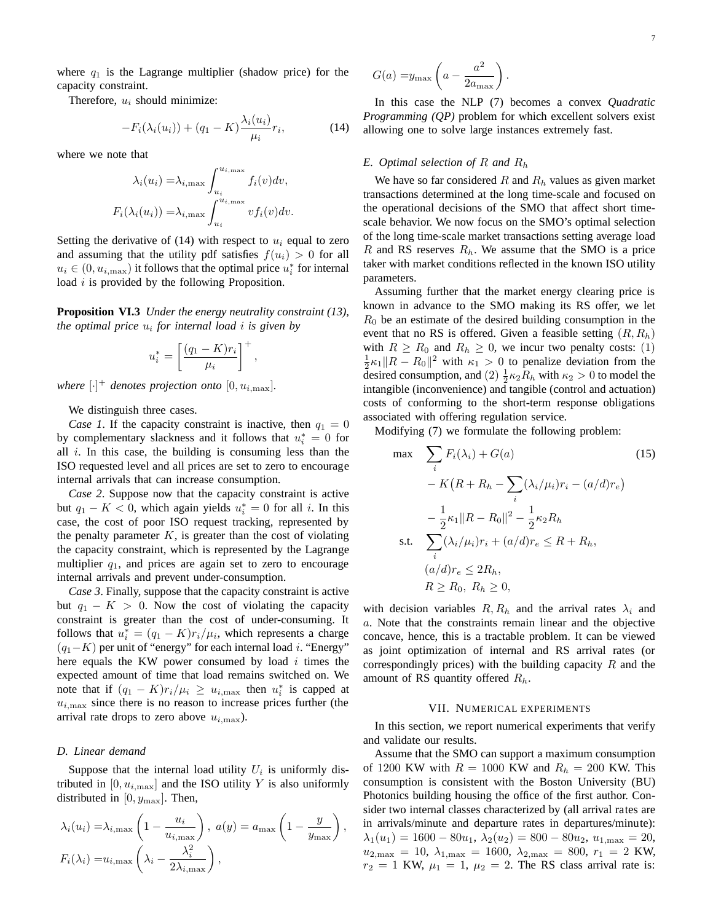where  $q_1$  is the Lagrange multiplier (shadow price) for the capacity constraint.

Therefore,  $u_i$  should minimize:

$$
-F_i(\lambda_i(u_i)) + (q_1 - K) \frac{\lambda_i(u_i)}{\mu_i} r_i,
$$
\n(14)

where we note that

$$
\lambda_i(u_i) = \lambda_{i,\max} \int_{u_i}^{u_{i,\max}} f_i(v) dv,
$$
  

$$
F_i(\lambda_i(u_i)) = \lambda_{i,\max} \int_{u_i}^{u_{i,\max}} vf_i(v) dv.
$$

Setting the derivative of (14) with respect to  $u_i$  equal to zero and assuming that the utility pdf satisfies  $f(u_i) > 0$  for all  $u_i \in (0, u_{i, \text{max}})$  it follows that the optimal price  $u_i^*$  for internal load  $i$  is provided by the following Proposition.

**Proposition VI.3** *Under the energy neutrality constraint (13), the optimal price* u<sup>i</sup> *for internal load* i *is given by*

$$
u_i^* = \left[\frac{(q_1 - K)r_i}{\mu_i}\right]^+,
$$

where  $[\cdot]^+$  denotes projection onto  $[0, u_{i, \text{max}}]$ .

We distinguish three cases.

*Case 1*. If the capacity constraint is inactive, then  $q_1 = 0$ by complementary slackness and it follows that  $u_i^* = 0$  for all  $i$ . In this case, the building is consuming less than the ISO requested level and all prices are set to zero to encourage internal arrivals that can increase consumption.

*Case 2*. Suppose now that the capacity constraint is active but  $q_1 - K < 0$ , which again yields  $u_i^* = 0$  for all *i*. In this case, the cost of poor ISO request tracking, represented by the penalty parameter  $K$ , is greater than the cost of violating the capacity constraint, which is represented by the Lagrange multiplier  $q_1$ , and prices are again set to zero to encourage internal arrivals and prevent under-consumption.

*Case 3*. Finally, suppose that the capacity constraint is active but  $q_1 - K > 0$ . Now the cost of violating the capacity constraint is greater than the cost of under-consuming. It follows that  $u_i^* = (q_1 - K)r_i/\mu_i$ , which represents a charge  $(q_1-K)$  per unit of "energy" for each internal load *i*. "Energy" here equals the KW power consumed by load  $i$  times the expected amount of time that load remains switched on. We note that if  $(q_1 - K)r_i/\mu_i \geq u_{i, \text{max}}$  then  $u_i^*$  is capped at  $u_{i, \text{max}}$  since there is no reason to increase prices further (the arrival rate drops to zero above  $u_{i,\text{max}}$ ).

### *D. Linear demand*

Suppose that the internal load utility  $U_i$  is uniformly distributed in  $[0, u_{i, \text{max}}]$  and the ISO utility Y is also uniformly distributed in  $[0, y_{\text{max}}]$ . Then,

$$
\lambda_i(u_i) = \lambda_{i,\max} \left( 1 - \frac{u_i}{u_{i,\max}} \right), \ a(y) = a_{\max} \left( 1 - \frac{y}{y_{\max}} \right),
$$
  

$$
F_i(\lambda_i) = u_{i,\max} \left( \lambda_i - \frac{\lambda_i^2}{2\lambda_{i,\max}} \right),
$$

$$
G(a) = y_{\text{max}} \left( a - \frac{a^2}{2a_{\text{max}}} \right).
$$

In this case the NLP (7) becomes a convex *Quadratic Programming (QP)* problem for which excellent solvers exist allowing one to solve large instances extremely fast.

## *E. Optimal selection of* R *and* R<sup>h</sup>

We have so far considered  $R$  and  $R_h$  values as given market transactions determined at the long time-scale and focused on the operational decisions of the SMO that affect short timescale behavior. We now focus on the SMO's optimal selection of the long time-scale market transactions setting average load R and RS reserves  $R_h$ . We assume that the SMO is a price taker with market conditions reflected in the known ISO utility parameters.

Assuming further that the market energy clearing price is known in advance to the SMO making its RS offer, we let  $R_0$  be an estimate of the desired building consumption in the event that no RS is offered. Given a feasible setting  $(R, R_h)$ with  $R \ge R_0$  and  $R_h \ge 0$ , we incur two penalty costs: (1)  $\frac{1}{2}\kappa_1 ||R - R_0||^2$  with  $\kappa_1 > 0$  to penalize deviation from the desired consumption, and  $(2)$   $\frac{1}{2}$   $\kappa_2 R_h$  with  $\kappa_2 > 0$  to model the intangible (inconvenience) and tangible (control and actuation) costs of conforming to the short-term response obligations associated with offering regulation service.

Modifying (7) we formulate the following problem:

$$
\max_{i} \sum_{i} F_i(\lambda_i) + G(a) \tag{15}
$$
\n
$$
- K(R + R_h - \sum_{i} (\lambda_i/\mu_i) r_i - (a/d) r_e)
$$
\n
$$
- \frac{1}{2} \kappa_1 ||R - R_0||^2 - \frac{1}{2} \kappa_2 R_h
$$
\n
$$
\text{s.t.} \sum_{i} (\lambda_i/\mu_i) r_i + (a/d) r_e \le R + R_h,
$$
\n
$$
(a/d) r_e \le 2R_h,
$$
\n
$$
R \ge R_0, R_h \ge 0,
$$
\n(15)

with decision variables  $R, R_h$  and the arrival rates  $\lambda_i$  and a. Note that the constraints remain linear and the objective concave, hence, this is a tractable problem. It can be viewed as joint optimization of internal and RS arrival rates (or correspondingly prices) with the building capacity  $R$  and the amount of RS quantity offered  $R_h$ .

#### VII. NUMERICAL EXPERIMENTS

In this section, we report numerical experiments that verify and validate our results.

Assume that the SMO can support a maximum consumption of 1200 KW with  $R = 1000$  KW and  $R_h = 200$  KW. This consumption is consistent with the Boston University (BU) Photonics building housing the office of the first author. Consider two internal classes characterized by (all arrival rates are in arrivals/minute and departure rates in departures/minute):  $\lambda_1(u_1) = 1600 - 80u_1, \lambda_2(u_2) = 800 - 80u_2, u_{1,\text{max}} = 20,$  $u_{2,\text{max}} = 10, \ \lambda_{1,\text{max}} = 1600, \ \lambda_{2,\text{max}} = 800, \ r_1 = 2 \text{ KW},$  $r_2 = 1$  KW,  $\mu_1 = 1$ ,  $\mu_2 = 2$ . The RS class arrival rate is: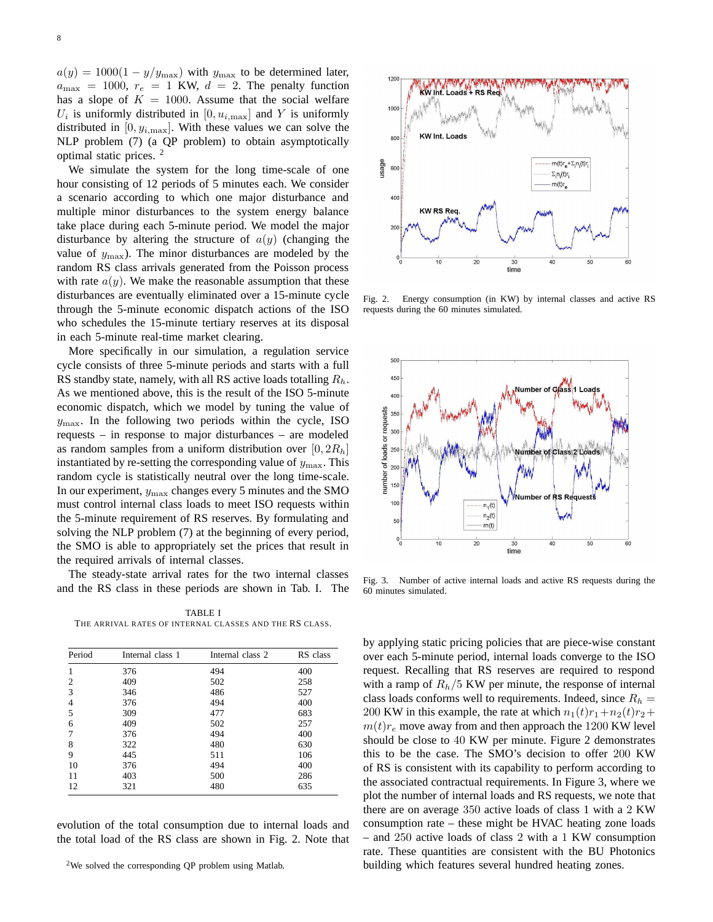$a(y) = 1000(1 - y/y_{\text{max}})$  with  $y_{\text{max}}$  to be determined later,  $a_{\text{max}} = 1000$ ,  $r_e = 1$  KW,  $d = 2$ . The penalty function has a slope of  $K = 1000$ . Assume that the social welfare  $U_i$  is uniformly distributed in  $[0, u_{i, \text{max}}]$  and Y is uniformly distributed in  $[0, y_{i, \text{max}}]$ . With these values we can solve the NLP problem (7) (a QP problem) to obtain asymptotically optimal static prices. <sup>2</sup>

We simulate the system for the long time-scale of one hour consisting of 12 periods of 5 minutes each. We consider a scenario according to which one major disturbance and multiple minor disturbances to the system energy balance take place during each 5-minute period. We model the major disturbance by altering the structure of  $a(y)$  (changing the value of  $y_{\text{max}}$ ). The minor disturbances are modeled by the random RS class arrivals generated from the Poisson process with rate  $a(y)$ . We make the reasonable assumption that these disturbances are eventually eliminated over a 15-minute cycle through the 5-minute economic dispatch actions of the ISO who schedules the 15-minute tertiary reserves at its disposal in each 5-minute real-time market clearing.

More specifically in our simulation, a regulation service cycle consists of three 5-minute periods and starts with a full RS standby state, namely, with all RS active loads totalling  $R_h$ . As we mentioned above, this is the result of the ISO 5-minute economic dispatch, which we model by tuning the value of  $y_{\text{max}}$ . In the following two periods within the cycle, ISO requests – in response to major disturbances – are modeled as random samples from a uniform distribution over  $[0, 2R<sub>h</sub>]$ instantiated by re-setting the corresponding value of  $y_{\text{max}}$ . This random cycle is statistically neutral over the long time-scale. In our experiment,  $y_{\text{max}}$  changes every 5 minutes and the SMO must control internal class loads to meet ISO requests within the 5-minute requirement of RS reserves. By formulating and solving the NLP problem (7) at the beginning of every period, the SMO is able to appropriately set the prices that result in the required arrivals of internal classes.

The steady-state arrival rates for the two internal classes and the RS class in these periods are shown in Tab. I. The

TABLE I THE ARRIVAL RATES OF INTERNAL CLASSES AND THE RS CLASS.

| Period | Internal class 1 | Internal class 2 | RS class |
|--------|------------------|------------------|----------|
|        | 376              | 494              | 400      |
| 2      | 409              | 502              | 258      |
| 3      | 346              | 486              | 527      |
|        | 376              | 494              | 400      |
| 5      | 309              | 477              | 683      |
| 6      | 409              | 502              | 257      |
|        | 376              | 494              | 400      |
| 8      | 322              | 480              | 630      |
| 9      | 445              | 511              | 106      |
| 10     | 376              | 494              | 400      |
| 11     | 403              | 500              | 286      |
| 12     | 321              | 480              | 635      |

evolution of the total consumption due to internal loads and the total load of the RS class are shown in Fig. 2. Note that



Fig. 2. Energy consumption (in KW) by internal classes and active RS requests during the 60 minutes simulated.



Fig. 3. Number of active internal loads and active RS requests during the 60 minutes simulated.

by applying static pricing policies that are piece-wise constant over each 5-minute period, internal loads converge to the ISO request. Recalling that RS reserves are required to respond with a ramp of  $R_h/5$  KW per minute, the response of internal class loads conforms well to requirements. Indeed, since  $R_h$  = 200 KW in this example, the rate at which  $n_1(t)r_1+n_2(t)r_2+$  $m(t)r_e$  move away from and then approach the 1200 KW level should be close to 40 KW per minute. Figure 2 demonstrates this to be the case. The SMO's decision to offer 200 KW of RS is consistent with its capability to perform according to the associated contractual requirements. In Figure 3, where we plot the number of internal loads and RS requests, we note that there are on average 350 active loads of class 1 with a 2 KW consumption rate – these might be HVAC heating zone loads – and 250 active loads of class 2 with a 1 KW consumption rate. These quantities are consistent with the BU Photonics building which features several hundred heating zones.